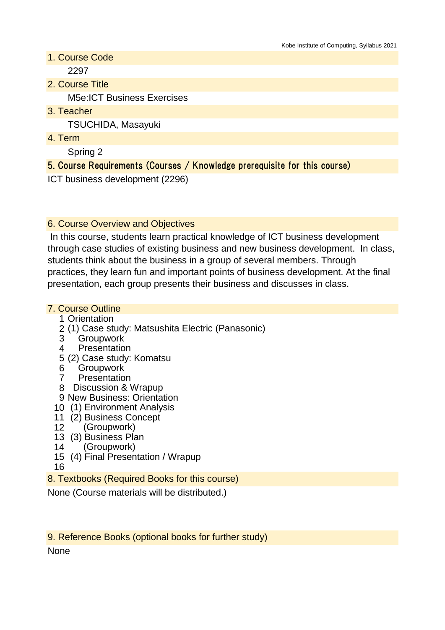- 1. Course Code 2297
- 2. Course Title

M5e:ICT Business Exercises

3. Teacher

TSUCHIDA, Masayuki

4. Term

Spring 2

## 5. Course Requirements (Courses / Knowledge prerequisite for this course)

ICT business development (2296)

### 6. Course Overview and Objectives

 In this course, students learn practical knowledge of ICT business development through case studies of existing business and new business development. In class, students think about the business in a group of several members. Through practices, they learn fun and important points of business development. At the final presentation, each group presents their business and discusses in class.

#### 7. Course Outline

- 1 Orientation
- 2 (1) Case study: Matsushita Electric (Panasonic)
- 3 **Groupwork**
- 4 **Presentation**
- 5 (2) Case study: Komatsu
- 6 **Groupwork**
- 7 **Presentation**
- 8 Discussion & Wrapup
- 9 New Business: Orientation
- 10 (1) Environment Analysis
- 11 (2) Business Concept
- 12 (Groupwork)
- 13 (3) Business Plan
- 14 (Groupwork)
- 15 (4) Final Presentation / Wrapup

16

8. Textbooks (Required Books for this course)

None (Course materials will be distributed.)

9. Reference Books (optional books for further study)

None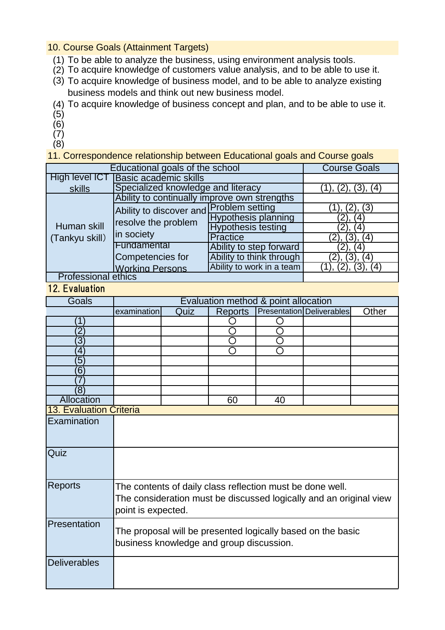10. Course Goals (Attainment Targets)

- (1) To be able to analyze the business, using environment analysis tools.
- (2) To acquire knowledge of customers value analysis, and to be able to use it.
- (3) To acquire knowledge of business model, and to be able to analyze existing business models and think out new business model.
- (4) To acquire knowledge of business concept and plan, and to be able to use it.
- (5)
- (6)
- $(7)$
- (8)

11. Correspondence relationship between Educational goals and Course goals

| Educational goals of the school | <b>Course Goals</b>                                          |                            |                |
|---------------------------------|--------------------------------------------------------------|----------------------------|----------------|
| High level ICT                  | <b>Basic academic skills</b>                                 |                            |                |
| skills                          | Specialized knowledge and literacy                           | (1), (2), (3), (4)         |                |
| Human skill<br>(Tankyu skill)   | Ability to continually improve own strengths                 |                            |                |
|                                 | Ability to discover and<br>resolve the problem<br>in society | <b>Problem setting</b>     | (3)            |
|                                 |                                                              | <b>Hypothesis planning</b> | (4)            |
|                                 |                                                              | <b>Hypothesis testing</b>  | (4             |
|                                 |                                                              | <b>Practice</b>            | 2),<br>(4)     |
|                                 | Fundamental                                                  | Ability to step forward    | (4)            |
|                                 | Competencies for                                             | Ability to think through   | $(3)$ .<br>(4) |
|                                 | <b>Working Persons</b>                                       | Ability to work in a team  | (3)<br>. (4)   |
| <b>Professional ethics</b>      |                                                              |                            |                |

# 12. Evaluation

| Goals                          | Evaluation method & point allocation                                                                                                                  |      |         |    |                           |       |
|--------------------------------|-------------------------------------------------------------------------------------------------------------------------------------------------------|------|---------|----|---------------------------|-------|
|                                | examination                                                                                                                                           | Quiz | Reports |    | Presentation Deliverables | Other |
| 1                              |                                                                                                                                                       |      |         |    |                           |       |
| $\overline{2}$                 |                                                                                                                                                       |      |         |    |                           |       |
| $\overline{3}$                 |                                                                                                                                                       |      |         |    |                           |       |
| 4                              |                                                                                                                                                       |      |         |    |                           |       |
| $\overline{5}$                 |                                                                                                                                                       |      |         |    |                           |       |
| $6^{\circ}$                    |                                                                                                                                                       |      |         |    |                           |       |
|                                |                                                                                                                                                       |      |         |    |                           |       |
| $\overline{8}$                 |                                                                                                                                                       |      |         |    |                           |       |
| <b>Allocation</b>              |                                                                                                                                                       |      | 60      | 40 |                           |       |
| <b>13. Evaluation Criteria</b> |                                                                                                                                                       |      |         |    |                           |       |
| Examination                    |                                                                                                                                                       |      |         |    |                           |       |
| Quiz                           |                                                                                                                                                       |      |         |    |                           |       |
| <b>Reports</b>                 | The contents of daily class reflection must be done well.<br>The consideration must be discussed logically and an original view<br>point is expected. |      |         |    |                           |       |
| Presentation                   | The proposal will be presented logically based on the basic<br>business knowledge and group discussion.                                               |      |         |    |                           |       |
| <b>Deliverables</b>            |                                                                                                                                                       |      |         |    |                           |       |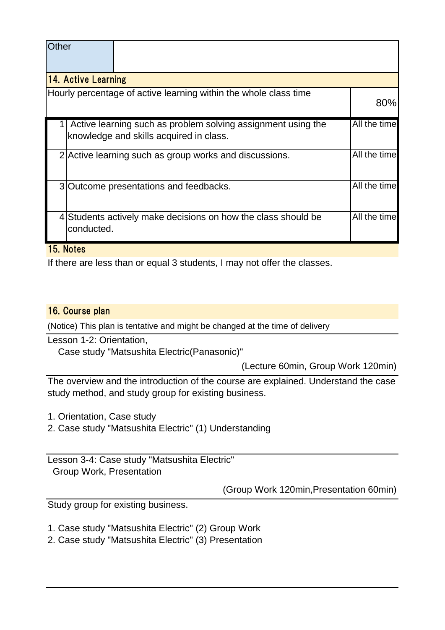| Other |                            |                                                                                                         |              |  |  |
|-------|----------------------------|---------------------------------------------------------------------------------------------------------|--------------|--|--|
|       | <b>14. Active Learning</b> |                                                                                                         |              |  |  |
|       |                            | Hourly percentage of active learning within the whole class time                                        | 80%          |  |  |
|       |                            | Active learning such as problem solving assignment using the<br>knowledge and skills acquired in class. | All the time |  |  |
|       |                            | 2 Active learning such as group works and discussions.                                                  | All the time |  |  |
|       |                            | 3 Outcome presentations and feedbacks.                                                                  | All the time |  |  |
|       | conducted.                 | 4 Students actively make decisions on how the class should be                                           | All the time |  |  |

15. Notes

If there are less than or equal 3 students, I may not offer the classes.

#### 16. Course plan

(Notice) This plan is tentative and might be changed at the time of delivery

Lesson 1-2: Orientation,

Case study "Matsushita Electric(Panasonic)"

(Lecture 60min, Group Work 120min)

The overview and the introduction of the course are explained. Understand the case study method, and study group for existing business.

1. Orientation, Case study

2. Case study "Matsushita Electric" (1) Understanding

Lesson 3-4: Case study "Matsushita Electric" Group Work, Presentation

(Group Work 120min,Presentation 60min)

Study group for existing business.

1. Case study "Matsushita Electric" (2) Group Work

2. Case study "Matsushita Electric" (3) Presentation